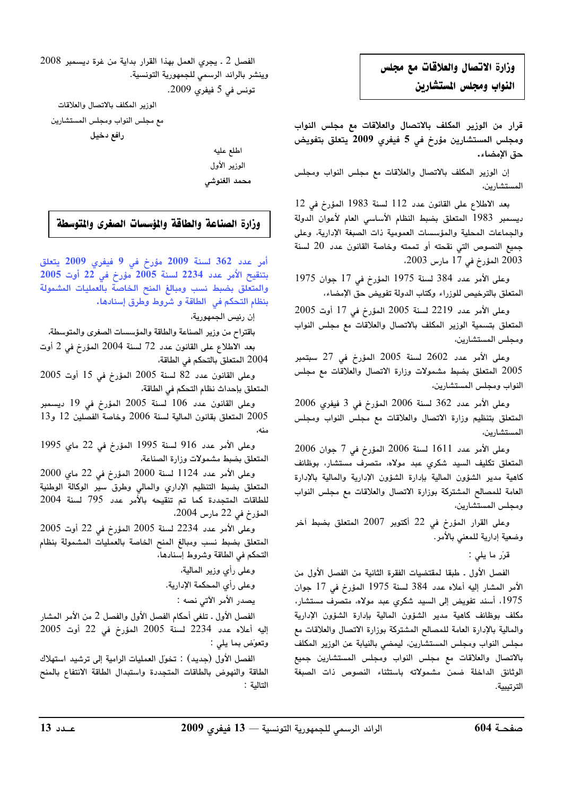## وزارة الاتصال والعلاقات مع مجلس النواب ومجلس المستشارين

قرار من الوزير المكلف بالاتصال والعلاقات مع مجلس النواب ومجلس المستشارين مؤرخ فى 5 فيفرى 2009 يتعلق بتفويض حق الإمضاء.

إن الوزير المكلف بالاتصال والعلاقات مع مجلس النواب ومجلس المستشارين،

بعد الاطلاع على القانون عدد 112 لسنة 1983 المؤرخ في 12 ديسمبر 1983 المتعلق بضبط النظام الأساسي العام لأعوان الدولة والجماعات المحلية والمؤسسات العمومية ذات الصبغة الإدارية، وعلى جميع النصوص التي نقحته أو تممته وخاصة القانون عدد 20 لسنة 2003 المؤرخ في 17 مارس 2003،

وعلى الأمر عدد 384 لسنة 1975 المؤرخ في 17 جوان 1975 المتعلق بالترخيص للوزراء وكتاب الدولة تفويض حق الإمضاء،

وعلى الأمر عدد 2219 لسنة 2005 المؤرخ في 17 أوت 2005 المتعلق بتسمية الوزير المكلف بالاتصال والعلاقات مع مجلس النواب ومجلس المستشارين،

وعلى الأمر عدد 2602 لسنة 2005 المؤرخ في 27 سبتمبر 2005 المتعلق بضبط مشمولات وزارة الاتصال والعلاقات مع مجلس النواب ومجلس المستشارين،

وعلى الأمر عدد 362 لسنة 2006 المؤرخ في 3 فيفري 2006 المتعلق بتنظيم وزارة الاتصال والعلاقات مع مجلس النواب ومجلس المستشارين،

 $2006\,$  وعلى الأمر عدد  $1611\,$  لسنة  $2006\,$  المؤرخ في 7 جوان المتعلق تكليف السيد شكري عبد مولاه، متصرف مستشار، بوظائف كاهية مدير الشؤون المالية بإدارة الشؤون الإدارية والمالية بالإدارة العامة للمصالح المشتركة بوزارة الاتصال والعلاقات مع مجلس النواب ومجلس المستشارين،

وعلى القرار المؤرخ في 22 أكتوبر 2007 المتعلق بضبط آخر وضعية إدارية للمعنى بالأمر.

قرّر ما يلي :

الفصل الأول . طبقا لمقتضيات الفقرة الثانية من الفصل الأول من الأمر المشار إليه أعلاه عدد 384 لسنة 1975 المؤرخ في 17 جوان 1975، أسند تفويض إلى السيد شكري عبد مولاه، متصرف مستشار، مكلف بوظائف كاهية مدير الشؤون المالية بإدارة الشؤون الإدارية والمالية بالإدارة العامة للمصالح المشتركة بوزارة الاتصال والعلاقات مع مجلس النواب ومجلس المستشارين، ليمضي بالنيابة عن الوزير المكلف بالاتصال والعلاقات مع مجلس النواب ومجلس المستشارين جميع الوثائق الداخلة ضمن مشمولاته باستثناء النصوص ذات الصبغة الترتيبية.

 $2008\,$  الفصل  $\,$  1 ـ يجري العمل بهذا القرار بداية من غرة ديسمبر وينشر بالرائد الرسمي للجمهورية التونسية.

تونس في 5 فيفري 2009.

الوزير المكلف بالاتصال والعلاقات مع مجلس النواب ومجلس المستشارين رافع دخيل

> اطلع عليه الوزير الأول محمد الغنوشي

## وزارة الصناعة والطاقة والمؤسسات الصغرى والتوسطة

أمر عدد 362 لسنة 2009 مؤرخ في 9 فيفري 2009 يتعلق  $2005$  بتنقيح الأمر عدد 2234 لسنة 2005 مؤرخ في 2 $\stackrel{>}{2}$  أوت والمتعلق بضبط نسب ومبالغ المنح الخاصة بالعمليات المشمولة بنظام التحكم في الطاقة و شروط وطرق إسنادها.

إن رئيس الجمهورية،

باقتراح من وزير الصناعة والطاقة والمؤسسات الصغرى والمتوسطة، بعد الاطلاع على القانون عدد 72 لسنة 2004 المؤرخ في 2 أوت

2004 المتعلق بالتحكم في الطاقة،

وعلى القانون عدد 82 لسنة 2005 المؤرخ في 15 أوت 2005 المتعلق بإحداث نظام التحكم في الطاقة،

وعلى القانون عدد 106 لسنة 2005 المؤرخ في 19 ديسمبر المتعلق بقانون المالية لسنة 2006 وخاصة الفصلين 12 و13  $12$ منه،

وعلى الأمر عدد 916 لسنة 1995 المؤرخ في 22 ماي 1995 المتعلق بضبط مشمولات وزارة الصناعة،

وعلى الأمر عدد 1124 لسنة 2000 المؤرخ في 22 ماي 2000 المتعلق بضبط التنظيم الإداري والمالي وطرق سير الوكالة الوطنية للطاقات المتجددة كما تم تنقيحه بالأمر عدد 795 لسنة 2004 المؤرخ في 22 مارس 2004.

وعلى الأمر عدد 2234 لسنة 2005 المؤرخ في 22 أوت 2005 المتعلق بضبط نسب ومبالغ المنح الخاصة بالعمليات المشمولة بنظام التحكم في الطاقة وشروط إسنادها،

وعلى رأي وزير المالية،

وعلى رأي المحكمة الإدارية.

يصدر الأمر الآتي نصه :

الفصل الأول ـ تلغى أحكام الفصل الأول والفصل 2 من الأمر المشار إليه أعلاه عدد 2234 لسنة 2005 المؤرخ في 22 أوت 2005 وتعوّض بما يلي :

الفصل الاول (جديد) : تخوّل العمليات الرامية إلى ترشيد استهلاك الطاقة والنهوض بالطاقات المتجددة واستبدال الطاقة الانتفاع بالمنح التالية :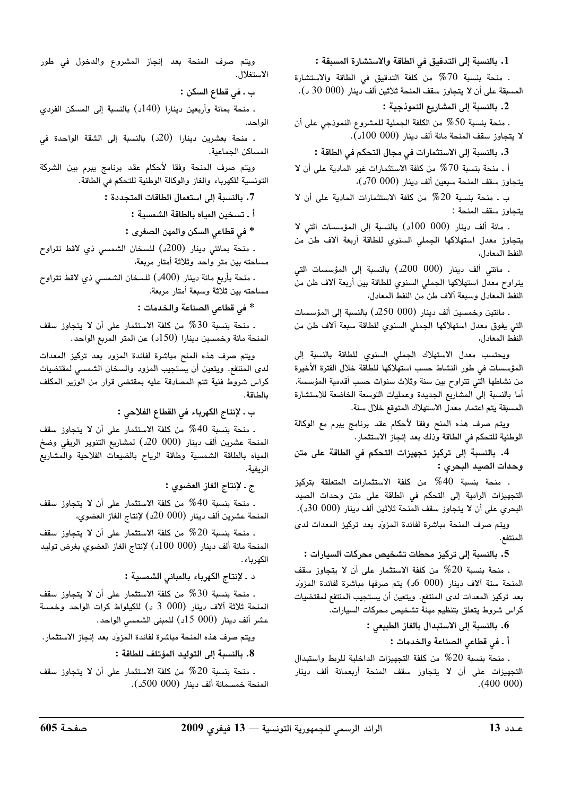1. بالنسبة إلى التدقيق في الطاقة والاستشارة المسبقة :

. منحة بنسبة 70% من كلفة التدقيق في الطاقة والاستشارة المسبقة على أن لا يتجاوز سقف المنحة ثلاثين ألف دينار (000 30 د).

2. بالنسبة إلى المشاريع النموذجية :

. منحة بنسبة 50% من الكلفة الجملية للمشروع النموذجي على أن لا يتجاوز سقف المنحة مائة ألف دينار (000 100د).

3. بالنسبة إلى الاستثمارات في مجال التحكم فى الطاقة :

أ ـ منحة بنسبة 70% من كلفة الاستثمارات غير المادية على أن لا يتجاوز سقف المنحة سبعين ألف دينار (000 70د)،

ب ـ منحة بنسبة 20% من كلفة الاستثمارات المادية على أن لا يتجاوز سقف المنحة :

. مائة ألف دينار (000 100) بالنسبة إلى المؤسسات التي لا يتجاوز معدل استهلاكها الجملي السنوي للطاقة أربعة آلاف طن من النفط المعادل،

. مائتي ألف دينار (000 200د) بالنسبة إلى المؤسسات التي يتراوح معدل استهلاكها الجملي السنوي للطاقة بين أربعة آلاف طن من النفط المعادل وسبعة آلاف طن من النفط المعادل،

. مائتين وخمسين ألف دينار (000 250د) بالنسبة إلى المؤسسات التي يفوق معدل استهلاكها الجملي السنوي للطاقة سبعة ألاف طن من النفط المعادل،

ويحتسب معدل الاستهلاك الجملي السنوي للطاقة بالنسبة إلى المؤسسات في طور النشاط حسب استهلاكها للطاقة خلال الفترة الأخيرة من نشاطها التي تتراوح بين سنة وثلاث سنوات حسب أقدمية المؤسسة. أما بالنسبة إلى المشاريع الجديدة وعمليات التوسعة الخاضعة للاستشارة المسبقة يتم اعتماد معدل الاستهلاك المتوقع خلال سنة.

ويتم صرف هذه المنح وفقا لأحكام عقد برنامج يبرم مع الوكالة الوطنية للتحكم في الطاقة وذلك بعد إنجاز الاستثمار.

4. بالنسبة إلى تركيز تجهيزات التحكم في الطاقة على متن وحدات الصيد البحرى :

. منحة بنسبة 40% من كلفة الاستثمارات المتعلقة بتركيز التجهيزات الرامية إلى التحكم في الطاقة على متن وحدات الصيد البحري على أن لا يتجاوز سقف المنحة ثلاثين ألف دينار (000 30د).

ويتم صرف المنحة مباشرة لفائدة المزول بعد تركيز المعدات لدى المنتفع.

5. بالنسبة إلى تركيز محطات تشخيص محركات السيارات :

. منحة بنسبة 20% من كلفة الاستثمار على أن لا يتجاوز سقف المنحة ستة آلاف دينار (000 60) يتم صرفها مباشرة لفائدة المزوّد بعد تركيز المعدات لدى المنتفع. ويتعين أن يستجيب المنتفع لمقتضيات كراس شروط يتعلق بتنظيم مهنة تشخيص محركات السيارات.

6. بالنسبة إلى الاستبدال بالغاز الطبيعي :

أ ـ في قطاعي الصناعة والخدمات :

. منحة بنسبة 20% من كلفة التجهيزات الداخلية للربط واستبدال التجهيزات على أن لا يتجاوز سقف المنحة أربعمائة ألف دينار  $(400 000)$ 

ويتم صرف المنحة بعد إنجاز المشروع والدخول في طور الاستغلال.

ب ـ في قطاع السكن :

. منحة بمائة وأربعين دينارا (140د) بالنسبة إلى المسكن الفردى الواحد.

. منحة بعشرين دينارا (20د) بالنسبة إلى الشقة الواحدة في المساكن الحماعية.

ويتم صرف المنحة وفقا لأحكام عقد برنامج يبرم بين الشركة التونسية للكهرباء والغاز والوكالة الوطنية للتحكم في الطاقة.

7. بالنسبة إلى استعمال الطاقات المتجددة :

أ ـ تسخين المياه بالطاقة الشمسية :

\* في قطاعي السكن والمهن الصغرى :

. منحة بمائتي دينار (200د) للسخان الشمسي ذي لاقط تتراوح مساحته بين متر واحد وثلاثة أمتار مربعة،

ـ منحة بأربع مائة دينار (400ه) للسخان الشمسي ذي لاقط تتراوح مساحته بين ثلاثة وسبعة أمتار مربعة.

\* في قطاعي الصناعة والخدمات :

. منحة بنسبة 30% من كلفة الاستثمار على أن لا يتجاوز سقف المنحة مائة وخمسين دينارا (150د) عن المتر المربع الواحد.

ويتم صرف هذه المنح مباشرة لفائدة المزود بعد تركيز المعدات لدى المنتفع. ويتعين أن يستجيب المزود والسخان الشمسى لمقتضيات كراس شروط فنية تتم المصادقة عليه بمقتضى قرار من الوزير المكلف بالطاقة.

ب ـ لإنتاج الكهرباء في القطاع الفلاحي :

. منحة بنسبة 40% من كلفة الاستثمار على أن لا يتجاوز سقف المنحة عشرين ألف دينار (000 20د) لمشاريع التنوير الريفي وضخ المياه بالطاقة الشمسية وطاقة الرياح بالضيعات الفلاحية والمشاريع الريفية.

ج ـ لإنتاج الغاز العضوى :

. منحة بنسبة 40% من كلفة الاستثمار على أن لا يتجاوز سقف المنحة عشرين ألف دينار (000 20د) لإنتاج الغاز العضوى،

. منحة بنسبة 20% من كلفة الاستثمار على أن لا يتجاوز سقف المنحة مائة ألف دينار (000 100د) لإنتاج الغاز العضوى بغرض توليد الكهرباء.

د ـ لإنتاج الكهرباء بالمباني الشمسية :

. منحة بنسبة 30% من كلفة الاستثمار على أن لا يتجاوز سقف المنحة ثلاثة آلاف دينار (000 3 د) للكيلواط كرات الواحد وخمسة عشر ألف دينار (000 15ل) للمبنى الشمسي الواحد.

ويتم صرف هذه المنحة مباشرة لفائدة المزوّد بعد إنجاز الاستثمار.

8. بالنسبة إلى التوليد المؤتلف للطاقة :

. منحة بنسبة 20% من كلفة الاستثمار على أن لا يتجاوز سقف المنحة خمسمائة ألف دينار (000 500د).